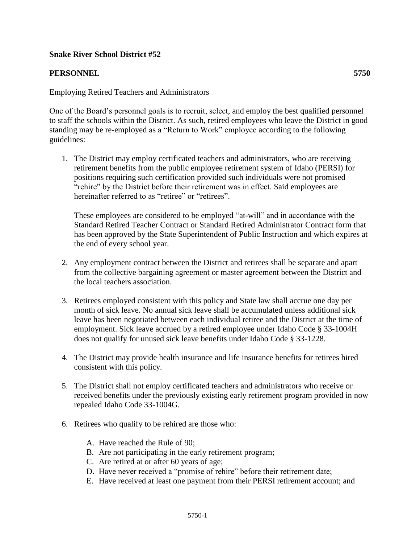## **Snake River School District #52**

## **PERSONNEL 5750**

## Employing Retired Teachers and Administrators

One of the Board's personnel goals is to recruit, select, and employ the best qualified personnel to staff the schools within the District. As such, retired employees who leave the District in good standing may be re-employed as a "Return to Work" employee according to the following guidelines:

1. The District may employ certificated teachers and administrators, who are receiving retirement benefits from the public employee retirement system of Idaho (PERSI) for positions requiring such certification provided such individuals were not promised "rehire" by the District before their retirement was in effect. Said employees are hereinafter referred to as "retiree" or "retirees".

These employees are considered to be employed "at-will" and in accordance with the Standard Retired Teacher Contract or Standard Retired Administrator Contract form that has been approved by the State Superintendent of Public Instruction and which expires at the end of every school year.

- 2. Any employment contract between the District and retirees shall be separate and apart from the collective bargaining agreement or master agreement between the District and the local teachers association.
- 3. Retirees employed consistent with this policy and State law shall accrue one day per month of sick leave. No annual sick leave shall be accumulated unless additional sick leave has been negotiated between each individual retiree and the District at the time of employment. Sick leave accrued by a retired employee under Idaho Code § 33-1004H does not qualify for unused sick leave benefits under Idaho Code § 33-1228.
- 4. The District may provide health insurance and life insurance benefits for retirees hired consistent with this policy.
- 5. The District shall not employ certificated teachers and administrators who receive or received benefits under the previously existing early retirement program provided in now repealed Idaho Code 33-1004G.
- 6. Retirees who qualify to be rehired are those who:
	- A. Have reached the Rule of 90;
	- B. Are not participating in the early retirement program;
	- C. Are retired at or after 60 years of age;
	- D. Have never received a "promise of rehire" before their retirement date;
	- E. Have received at least one payment from their PERSI retirement account; and